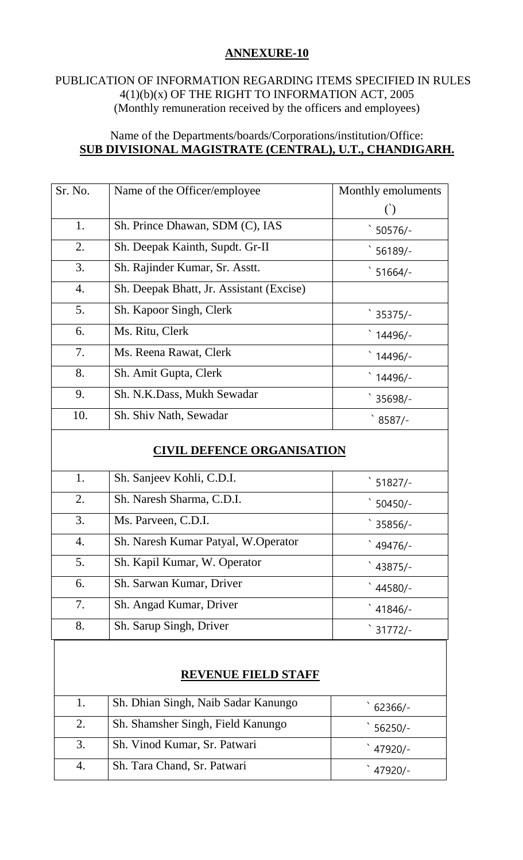# **ANNEXURE-10**

### PUBLICATION OF INFORMATION REGARDING ITEMS SPECIFIED IN RULES 4(1)(b)(x) OF THE RIGHT TO INFORMATION ACT, 2005 (Monthly remuneration received by the officers and employees)

## Name of the Departments/boards/Corporations/institution/Office: **SUB DIVISIONAL MAGISTRATE (CENTRAL), U.T., CHANDIGARH.**

| Sr. No.          | Name of the Officer/employee             | Monthly emoluments |
|------------------|------------------------------------------|--------------------|
|                  |                                          |                    |
| 1.               | Sh. Prince Dhawan, SDM (C), IAS          | $50576/-$          |
| 2.               | Sh. Deepak Kainth, Supdt. Gr-II          | $56189/-$          |
| 3.               | Sh. Rajinder Kumar, Sr. Asstt.           | $51664/-$          |
| $\overline{4}$ . | Sh. Deepak Bhatt, Jr. Assistant (Excise) |                    |
| 5.               | Sh. Kapoor Singh, Clerk                  | $35375/-$          |
| 6.               | Ms. Ritu, Clerk                          | 14496/-            |
| 7.               | Ms. Reena Rawat, Clerk                   | 14496/-            |
| 8.               | Sh. Amit Gupta, Clerk                    | 14496/-            |
| 9.               | Sh. N.K.Dass, Mukh Sewadar               | 35698/-            |
| 10.              | Sh. Shiv Nath, Sewadar                   | $8587/-$           |

## **CIVIL DEFENCE ORGANISATION**

| 1. | Sh. Sanjeev Kohli, C.D.I.           | $51827/-$ |
|----|-------------------------------------|-----------|
| 2. | Sh. Naresh Sharma, C.D.I.           | $50450/-$ |
| 3. | Ms. Parveen, C.D.I.                 | 35856/-   |
| 4. | Sh. Naresh Kumar Patyal, W.Operator | 49476/-   |
| 5. | Sh. Kapil Kumar, W. Operator        | 43875/-   |
| 6. | Sh. Sarwan Kumar, Driver            | 44580/-   |
| 7. | Sh. Angad Kumar, Driver             | $41846/-$ |
| 8. | Sh. Sarup Singh, Driver             | $31772/-$ |

## **REVENUE FIELD STAFF**

| 1. | Sh. Dhian Singh, Naib Sadar Kanungo | $62366/-$ |
|----|-------------------------------------|-----------|
| 2. | Sh. Shamsher Singh, Field Kanungo   | $56250/-$ |
| 3. | Sh. Vinod Kumar, Sr. Patwari        | 47920/-   |
|    | Sh. Tara Chand, Sr. Patwari         | 47920/-   |